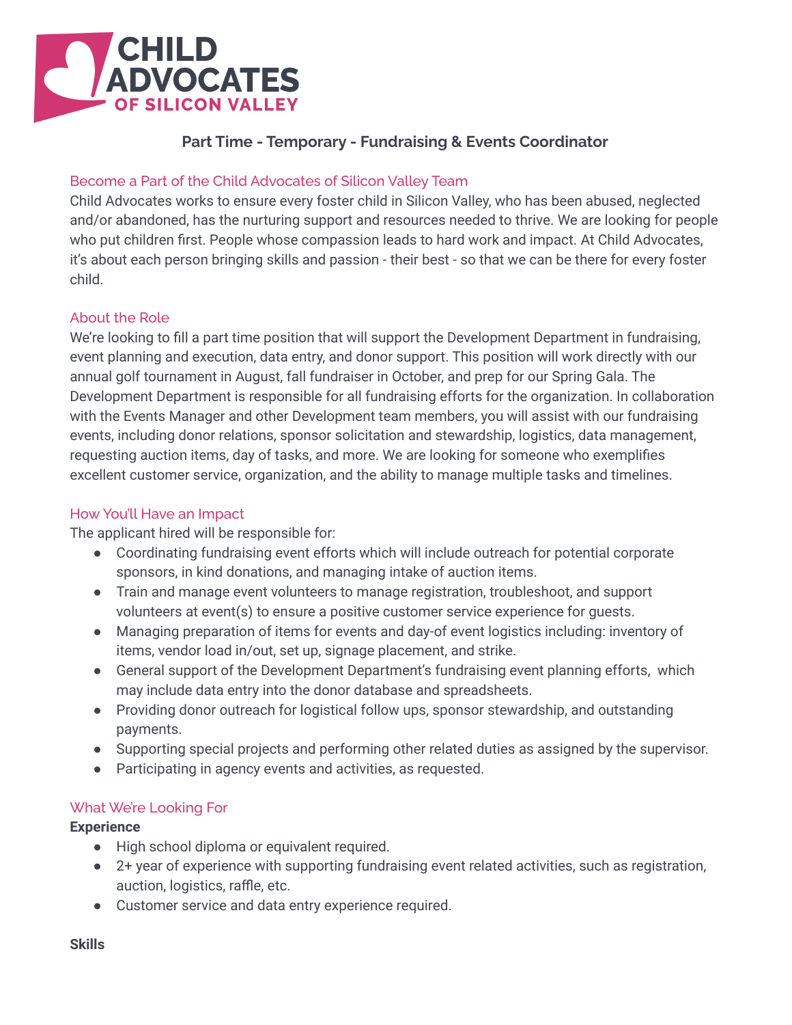

# **Part Time - Temporary - Fundraising & Events Coordinator**

# Become a Part of the Child Advocates of Silicon Valley Team

Child Advocates works to ensure every foster child in Silicon Valley, who has been abused, neglected and/or abandoned, has the nurturing support and resources needed to thrive. We are looking for people who put children first. People whose compassion leads to hard work and impact. At Child Advocates, it's about each person bringing skills and passion - their best - so that we can be there for every foster child.

## About the Role

We're looking to fill a part time position that will support the Development Department in fundraising, event planning and execution, data entry, and donor support. This position will work directly with our annual golf tournament in August, fall fundraiser in October, and prep for our Spring Gala. The Development Department is responsible for all fundraising efforts for the organization. In collaboration with the Events Manager and other Development team members, you will assist with our fundraising events, including donor relations, sponsor solicitation and stewardship, logistics, data management, requesting auction items, day of tasks, and more. We are looking for someone who exemplifies excellent customer service, organization, and the ability to manage multiple tasks and timelines.

#### How You'll Have an Impact

The applicant hired will be responsible for:

- Coordinating fundraising event efforts which will include outreach for potential corporate sponsors, in kind donations, and managing intake of auction items.
- Train and manage event volunteers to manage registration, troubleshoot, and support volunteers at event(s) to ensure a positive customer service experience for guests.
- Managing preparation of items for events and day-of event logistics including: inventory of items, vendor load in/out, set up, signage placement, and strike.
- General support of the Development Department's fundraising event planning efforts, which may include data entry into the donor database and spreadsheets.
- Providing donor outreach for logistical follow ups, sponsor stewardship, and outstanding payments.
- Supporting special projects and performing other related duties as assigned by the supervisor.
- Participating in agency events and activities, as requested.

#### What We're Looking For

#### **Experience**

- High school diploma or equivalent required.
- 2+ year of experience with supporting fundraising event related activities, such as registration, auction, logistics, raffle, etc.
- Customer service and data entry experience required.